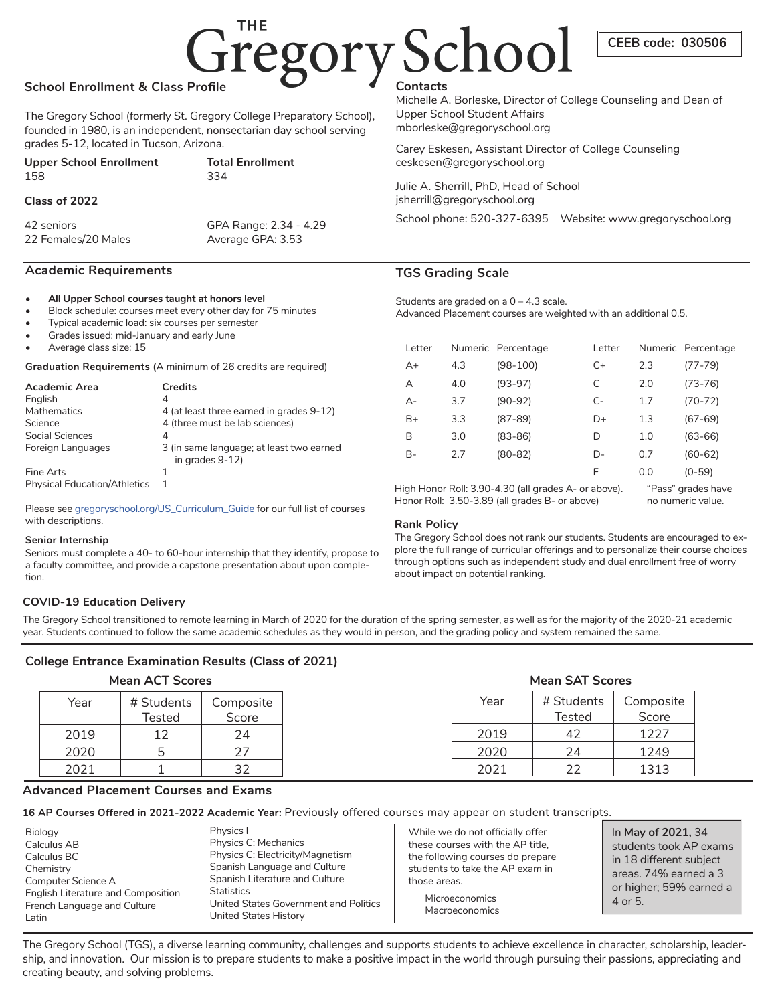# Gregory School

# **School Enrollment & Class Profile**

The Gregory School (formerly St. Gregory College Preparatory School), founded in 1980, is an independent, nonsectarian day school serving grades 5-12, located in Tucson, Arizona.

| <b>Upper School Enrollment</b> | <b>Total Enrollment</b> |
|--------------------------------|-------------------------|
| 158                            | 334                     |
|                                |                         |

## **Class of 2022**

42 seniors GPA Range: 2.34 - 4.29 22 Females/20 Males Average GPA: 3.53

## **Academic Requirements**

#### **• All Upper School courses taught at honors level**

- Block schedule: courses meet every other day for 75 minutes
- Typical academic load: six courses per semester
- Grades issued: mid-January and early June
- Average class size: 15

**Graduation Requirements (**A minimum of 26 credits are required)

| <b>Academic Area</b> | <b>Credits</b>                                              |
|----------------------|-------------------------------------------------------------|
| English              | 4                                                           |
| Mathematics          | 4 (at least three earned in grades 9-12)                    |
| Science              | 4 (three must be lab sciences)                              |
| Social Sciences      | 4                                                           |
| Foreign Languages    | 3 (in same language; at least two earned<br>in grades 9-12) |
| Fine Arts            |                                                             |
|                      |                                                             |

Please see gregoryschool.org/US\_Curriculum\_Guide for our full list of courses with descriptions.

#### **Senior Internship**

Seniors must complete a 40- to 60-hour internship that they identify, propose to a faculty committee, and provide a capstone presentation about upon completion.

# Physical Education/Athletics 1

Michelle A. Borleske, Director of College Counseling and Dean of Upper School Student Affairs mborleske@gregoryschool.org

Carey Eskesen, Assistant Director of College Counseling ceskesen@gregoryschool.org

Julie A. Sherrill, PhD, Head of School jsherrill@gregoryschool.org School phone: 520-327-6395 Website: www.gregoryschool.org

# **TGS Grading Scale**

Students are graded on a 0 – 4.3 scale. Advanced Placement courses are weighted with an additional 0.5.

| Letter |     | Numeric Percentage | Letter |     | Numeric Percentage |
|--------|-----|--------------------|--------|-----|--------------------|
| A+     | 4.3 | $(98-100)$         | $C+$   | 2.3 | $(77 - 79)$        |
| А      | 4.0 | $(93-97)$          | С      | 2.0 | $(73 - 76)$        |
| $A -$  | 3.7 | $(90-92)$          | $C-$   | 1.7 | $(70-72)$          |
| $B+$   | 3.3 | $(87 - 89)$        | D+     | 1.3 | $(67-69)$          |
| В      | 3.0 | $(83 - 86)$        | D      | 1.0 | $(63 - 66)$        |
| B-     | 2.7 | $(80 - 82)$        | D-     | 0.7 | $(60-62)$          |
|        |     |                    | F      | 0.0 | $(0-59)$           |

High Honor Roll: 3.90-4.30 (all grades A- or above). Honor Roll: 3.50-3.89 (all grades B- or above)

"Pass" grades have no numeric value.

**CEEB code: 030506**

## **Rank Policy**

The Gregory School does not rank our students. Students are encouraged to explore the full range of curricular offerings and to personalize their course choices through options such as independent study and dual enrollment free of worry about impact on potential ranking.

# **COVID-19 Education Delivery**

The Gregory School transitioned to remote learning in March of 2020 for the duration of the spring semester, as well as for the majority of the 2020-21 academic year. Students continued to follow the same academic schedules as they would in person, and the grading policy and system remained the same.

# **College Entrance Examination Results (Class of 2021)**

# **Mean ACT Scores**

| <b>Mean ACT Scores</b> |                      | <b>Mean SAT Scores</b> |  |      |                      |                    |
|------------------------|----------------------|------------------------|--|------|----------------------|--------------------|
| Year                   | # Students<br>Tested | Composite<br>Score     |  | Year | # Students<br>Tested | Composite<br>Score |
| 2019                   | 12                   | 24                     |  | 2019 | 42                   | 1227               |
| 2020                   | 5                    | 27                     |  | 2020 | 24                   | 1249               |
| 2021                   |                      |                        |  | 2021 | つつ                   | 1313               |

# **Advanced Placement Courses and Exams**

**16 AP Courses Offered in 2021-2022 Academic Year:** Previously offered courses may appear on student transcripts.

Biology Calculus AB Calculus BC **Chemistry** Computer Science A English Literature and Composition French Language and Culture Latin Physics I **Statistics** 

Physics C: Mechanics Physics C: Electricity/Magnetism Spanish Language and Culture Spanish Literature and Culture United States Government and Politics United States History

While we do not officially offer these courses with the AP title, the following courses do prepare students to take the AP exam in those areas.

> **Microeconomics** Macroeconomics

In **May of 2021,** 34 students took AP exams in 18 different subject areas. 74% earned a 3 or higher; 59% earned a 4 or 5.

The Gregory School (TGS), a diverse learning community, challenges and supports students to achieve excellence in character, scholarship, leadership, and innovation. Our mission is to prepare students to make a positive impact in the world through pursuing their passions, appreciating and creating beauty, and solving problems.